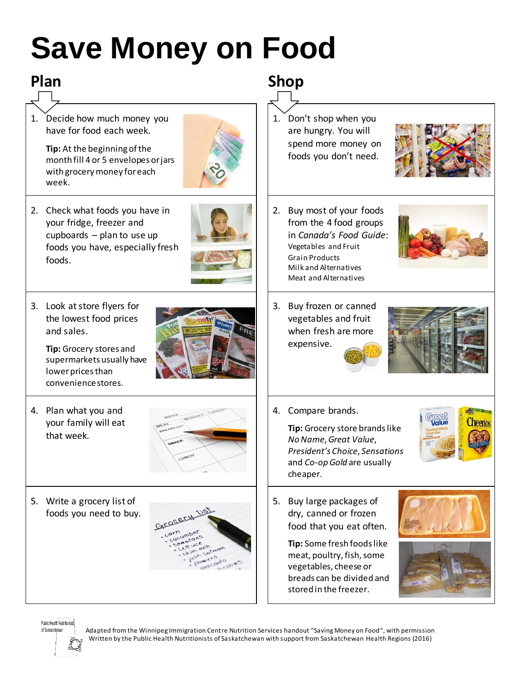# **Save Money on Food**

## **Plan Shop**

1. Decide how much money you have for food each week.

> **Tip:** At the beginning of the month fill 4 or 5 envelopes or jars with grocery money for each week.



2. Check what foods you have in your fridge, freezer and cupboards – plan to use up foods you have, especially fresh foods.



3. Look at store flyers for the lowest food prices and sales.

> **Tip:** Grocery stores and supermarkets usually have lower prices than convenience stores.

- 
- 4. Plan what you and your family will eat that week.



5. Write a grocery list of foods you need to buy.



1. Don't shop when you are hungry. You will spend more money on foods you don't need.



- 2. Buy most of your foods from the 4 food groups in *Canada's Food Guide*: Vegetables and Fruit Grain Products Milk and Alternatives Meat and Alternatives
- 3. Buy frozen or canned vegetables and fruit when fresh are more expensive.



4. Compare brands.

**Tip:** Grocery store brands like *No Name*, *Great Value*, *President's Choice*, *Sensations* and *Co-op Gold* are usually cheaper.

5. Buy large packages of dry, canned or frozen food that you eat often.

> **Tip:** Some fresh foods like meat, poultry, fish, some vegetables, cheese or breads can be divided and stored in the freezer.



heeri



## Public Health Nutritionists of Saskatchewan

Adapted from the Winnipeg Immigration Centre Nutrition Services handout "Saving Money on Food", with permission Written by the Public Health Nutritionists of Saskatchewan with support from Saskatchewan Health Regions (2016)